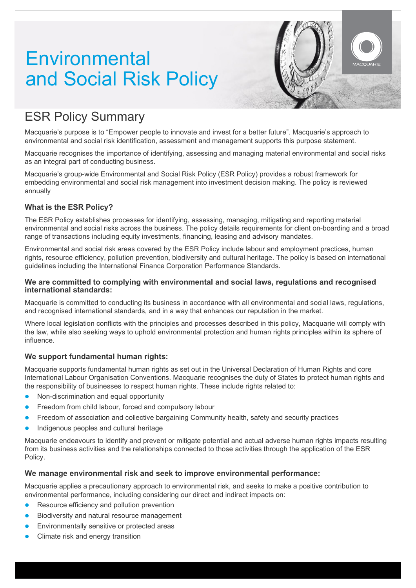# **Environmental** and Social Risk Policy



# ESR Policy Summary

Macquarie's purpose is to "Empower people to innovate and invest for a better future". Macquarie's approach to environmental and social risk identification, assessment and management supports this purpose statement.

Macquarie recognises the importance of identifying, assessing and managing material environmental and social risks as an integral part of conducting business.

Macquarie's group-wide Environmental and Social Risk Policy (ESR Policy) provides a robust framework for embedding environmental and social risk management into investment decision making. The policy is reviewed annually

# **What is the ESR Policy?**

The ESR Policy establishes processes for identifying, assessing, managing, mitigating and reporting material environmental and social risks across the business. The policy details requirements for client on-boarding and a broad range of transactions including equity investments, financing, leasing and advisory mandates.

Environmental and social risk areas covered by the ESR Policy include labour and employment practices, human rights, resource efficiency, pollution prevention, biodiversity and cultural heritage. The policy is based on international guidelines including the International Finance Corporation Performance Standards.

#### **We are committed to complying with environmental and social laws, regulations and recognised international standards:**

Macquarie is committed to conducting its business in accordance with all environmental and social laws, regulations, and recognised international standards, and in a way that enhances our reputation in the market.

Where local legislation conflicts with the principles and processes described in this policy, Macquarie will comply with the law, while also seeking ways to uphold environmental protection and human rights principles within its sphere of influence.

# **We support fundamental human rights:**

Macquarie supports fundamental human rights as set out in the Universal Declaration of Human Rights and core International Labour Organisation Conventions. Macquarie recognises the duty of States to protect human rights and the responsibility of businesses to respect human rights. These include rights related to:

- Non-discrimination and equal opportunity
- Freedom from child labour, forced and compulsory labour
- Freedom of association and collective bargaining Community health, safety and security practices
- Indigenous peoples and cultural heritage

Macquarie endeavours to identify and prevent or mitigate potential and actual adverse human rights impacts resulting from its business activities and the relationships connected to those activities through the application of the ESR Policy.

# **We manage environmental risk and seek to improve environmental performance:**

Macquarie applies a precautionary approach to environmental risk, and seeks to make a positive contribution to environmental performance, including considering our direct and indirect impacts on:

- Resource efficiency and pollution prevention
- Biodiversity and natural resource management
- Environmentally sensitive or protected areas
- Climate risk and energy transition